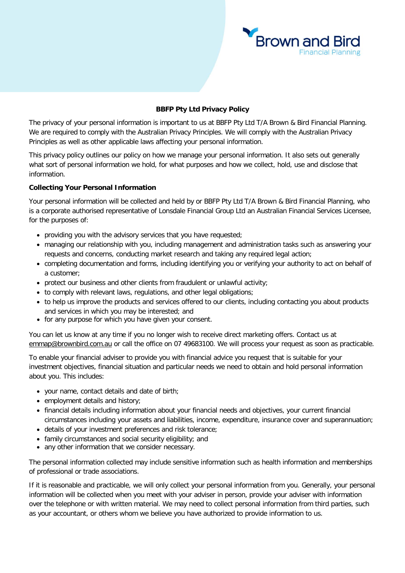

## **BBFP Pty Ltd Privacy Policy**

The privacy of your personal information is important to us at BBFP Pty Ltd T/A Brown & Bird Financial Planning. We are required to comply with the Australian Privacy Principles. We will comply with the Australian Privacy Principles as well as other applicable laws affecting your personal information.

This privacy policy outlines our policy on how we manage your personal information. It also sets out generally what sort of personal information we hold, for what purposes and how we collect, hold, use and disclose that information.

### **Collecting Your Personal Information**

Your personal information will be collected and held by or BBFP Pty Ltd T/A Brown & Bird Financial Planning, who is a corporate authorised representative of Lonsdale Financial Group Ltd an Australian Financial Services Licensee, for the purposes of:

- providing you with the advisory services that you have requested:
- managing our relationship with you, including management and administration tasks such as answering your requests and concerns, conducting market research and taking any required legal action;
- completing documentation and forms, including identifying you or verifying your authority to act on behalf of a customer;
- protect our business and other clients from fraudulent or unlawful activity;
- to comply with relevant laws, regulations, and other legal obligations;
- to help us improve the products and services offered to our clients, including contacting you about products and services in which you may be interested; and
- for any purpose for which you have given your consent.

You can let us know at any time if you no longer wish to receive direct marketing offers. Contact us at [emmap@brownbird.com.au](mailto:emmap@brownbird.com.au) or call the office on 07 49683100. We will process your request as soon as practicable.

To enable your financial adviser to provide you with financial advice you request that is suitable for your investment objectives, financial situation and particular needs we need to obtain and hold personal information about you. This includes:

- your name, contact details and date of birth;
- employment details and history;
- financial details including information about your financial needs and objectives, your current financial circumstances including your assets and liabilities, income, expenditure, insurance cover and superannuation;
- details of your investment preferences and risk tolerance;
- family circumstances and social security eligibility; and
- any other information that we consider necessary.

The personal information collected may include sensitive information such as health information and memberships of professional or trade associations.

If it is reasonable and practicable, we will only collect your personal information from you. Generally, your personal information will be collected when you meet with your adviser in person, provide your adviser with information over the telephone or with written material. We may need to collect personal information from third parties, such as your accountant, or others whom we believe you have authorized to provide information to us.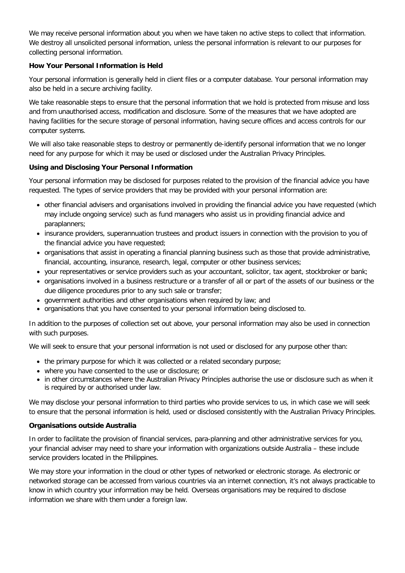We may receive personal information about you when we have taken no active steps to collect that information. We destroy all unsolicited personal information, unless the personal information is relevant to our purposes for collecting personal information.

# **How Your Personal Information is Held**

Your personal information is generally held in client files or a computer database. Your personal information may also be held in a secure archiving facility.

We take reasonable steps to ensure that the personal information that we hold is protected from misuse and loss and from unauthorised access, modification and disclosure. Some of the measures that we have adopted are having facilities for the secure storage of personal information, having secure offices and access controls for our computer systems.

We will also take reasonable steps to destroy or permanently de-identify personal information that we no longer need for any purpose for which it may be used or disclosed under the Australian Privacy Principles.

### **Using and Disclosing Your Personal Information**

Your personal information may be disclosed for purposes related to the provision of the financial advice you have requested. The types of service providers that may be provided with your personal information are:

- other financial advisers and organisations involved in providing the financial advice you have requested (which may include ongoing service) such as fund managers who assist us in providing financial advice and paraplanners;
- insurance providers, superannuation trustees and product issuers in connection with the provision to you of the financial advice you have requested;
- organisations that assist in operating a financial planning business such as those that provide administrative, financial, accounting, insurance, research, legal, computer or other business services;
- your representatives or service providers such as your accountant, solicitor, tax agent, stockbroker or bank;
- organisations involved in a business restructure or a transfer of all or part of the assets of our business or the due diligence procedures prior to any such sale or transfer;
- government authorities and other organisations when required by law; and
- organisations that you have consented to your personal information being disclosed to.

In addition to the purposes of collection set out above, your personal information may also be used in connection with such purposes.

We will seek to ensure that your personal information is not used or disclosed for any purpose other than:

- the primary purpose for which it was collected or a related secondary purpose;
- where you have consented to the use or disclosure; or
- in other circumstances where the Australian Privacy Principles authorise the use or disclosure such as when it is required by or authorised under law.

We may disclose your personal information to third parties who provide services to us, in which case we will seek to ensure that the personal information is held, used or disclosed consistently with the Australian Privacy Principles.

# **Organisations outside Australia**

In order to facilitate the provision of financial services, para-planning and other administrative services for you, your financial adviser may need to share your information with organizations outside Australia – these include service providers located in the Philippines.

We may store your information in the cloud or other types of networked or electronic storage. As electronic or networked storage can be accessed from various countries via an internet connection, it's not always practicable to know in which country your information may be held. Overseas organisations may be required to disclose information we share with them under a foreign law.